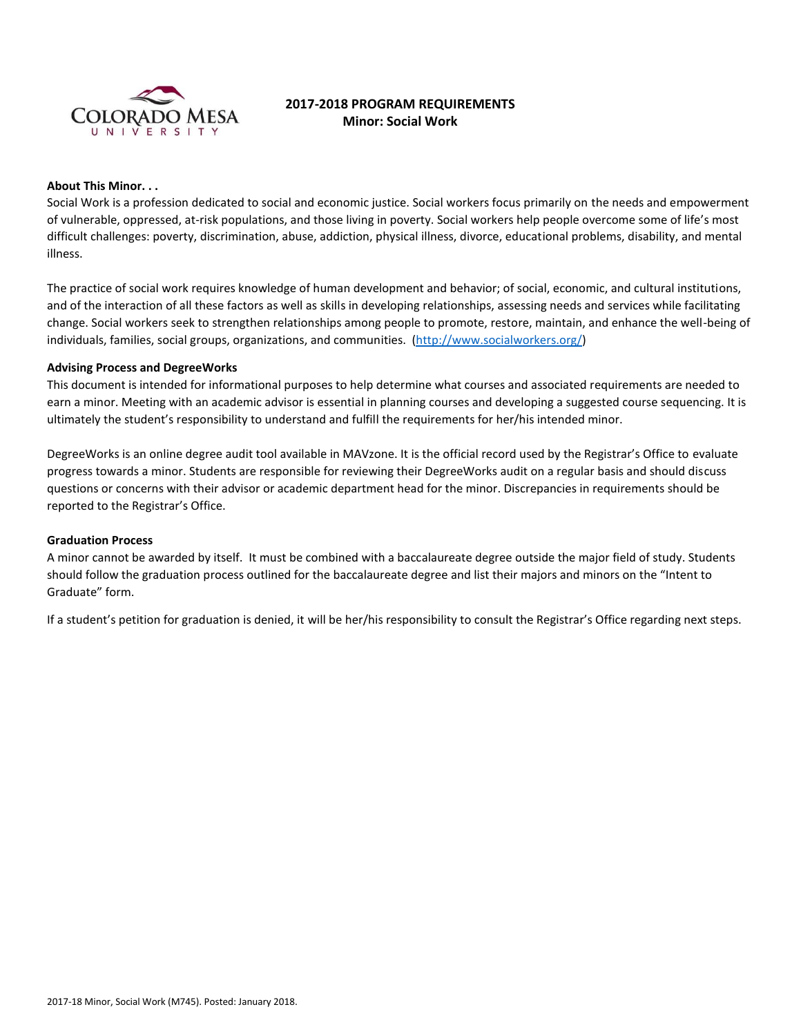

# **2017-2018 PROGRAM REQUIREMENTS Minor: Social Work**

### **About This Minor. . .**

Social Work is a profession dedicated to social and economic justice. Social workers focus primarily on the needs and empowerment of vulnerable, oppressed, at-risk populations, and those living in poverty. Social workers help people overcome some of life's most difficult challenges: poverty, discrimination, abuse, addiction, physical illness, divorce, educational problems, disability, and mental illness.

The practice of social work requires knowledge of human development and behavior; of social, economic, and cultural institutions, and of the interaction of all these factors as well as skills in developing relationships, assessing needs and services while facilitating change. Social workers seek to strengthen relationships among people to promote, restore, maintain, and enhance the well-being of individuals, families, social groups, organizations, and communities. [\(http://www.socialworkers.org/\)](http://www.socialworkers.org/)

## **Advising Process and DegreeWorks**

This document is intended for informational purposes to help determine what courses and associated requirements are needed to earn a minor. Meeting with an academic advisor is essential in planning courses and developing a suggested course sequencing. It is ultimately the student's responsibility to understand and fulfill the requirements for her/his intended minor.

DegreeWorks is an online degree audit tool available in MAVzone. It is the official record used by the Registrar's Office to evaluate progress towards a minor. Students are responsible for reviewing their DegreeWorks audit on a regular basis and should discuss questions or concerns with their advisor or academic department head for the minor. Discrepancies in requirements should be reported to the Registrar's Office.

#### **Graduation Process**

A minor cannot be awarded by itself. It must be combined with a baccalaureate degree outside the major field of study. Students should follow the graduation process outlined for the baccalaureate degree and list their majors and minors on the "Intent to Graduate" form.

If a student's petition for graduation is denied, it will be her/his responsibility to consult the Registrar's Office regarding next steps.